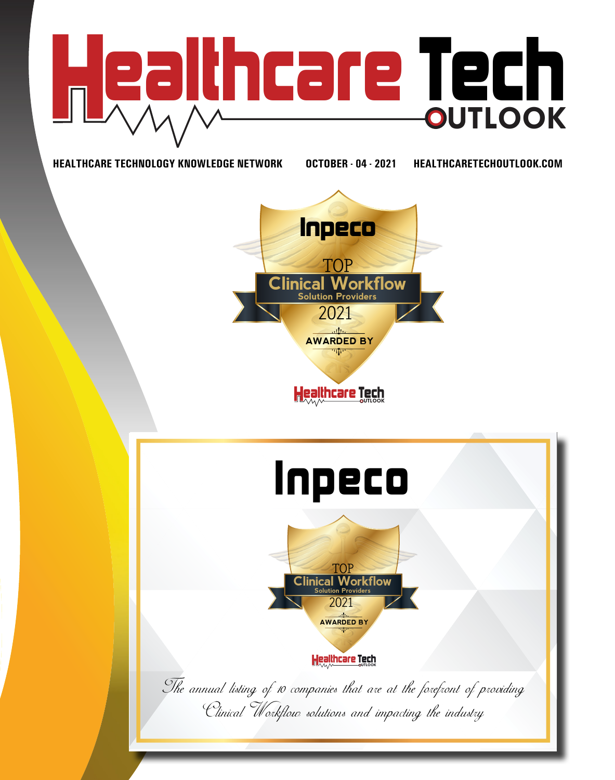

**HEALTHCARE TECHNOLOGY KNOWLEDGE NETWORK OCTOBER - 04 - 2021 HEALTHCARETECHOUTLOOK.COM**



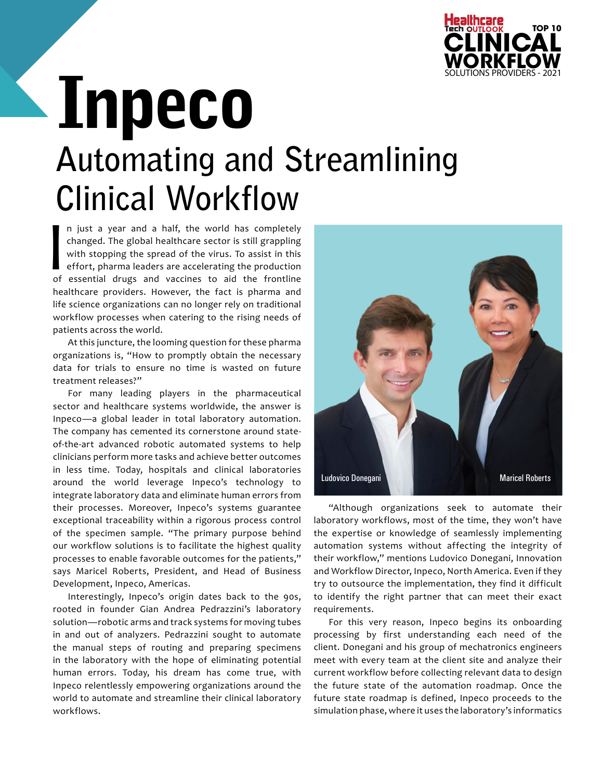

## Inpeco **Automating and Streamlining Clinical Workflow**

 $\overline{\phantom{0}}$  of n just a year and a half, the world has completely changed. The global healthcare sector is still grappling with stopping the spread of the virus. To assist in this effort, pharma leaders are accelerating the production of essential drugs and vaccines to aid the frontline healthcare providers. However, the fact is pharma and life science organizations can no longer rely on traditional workflow processes when catering to the rising needs of patients across the world.

At this juncture, the looming question for these pharma organizations is, "How to promptly obtain the necessary data for trials to ensure no time is wasted on future treatment releases?"

For many leading players in the pharmaceutical sector and healthcare systems worldwide, the answer is Inpeco—a global leader in total laboratory automation. The company has cemented its cornerstone around stateof-the-art advanced robotic automated systems to help clinicians perform more tasks and achieve better outcomes in less time. Today, hospitals and clinical laboratories around the world leverage Inpeco's technology to integrate laboratory data and eliminate human errors from their processes. Moreover, Inpeco's systems guarantee exceptional traceability within a rigorous process control of the specimen sample. "The primary purpose behind our workflow solutions is to facilitate the highest quality processes to enable favorable outcomes for the patients," says Maricel Roberts, President, and Head of Business Development, Inpeco, Americas.

Interestingly, Inpeco's origin dates back to the 90s, rooted in founder Gian Andrea Pedrazzini's laboratory solution—robotic arms and track systems for moving tubes in and out of analyzers. Pedrazzini sought to automate the manual steps of routing and preparing specimens in the laboratory with the hope of eliminating potential human errors. Today, his dream has come true, with Inpeco relentlessly empowering organizations around the world to automate and streamline their clinical laboratory workflows.



"Although organizations seek to automate their laboratory workflows, most of the time, they won't have the expertise or knowledge of seamlessly implementing automation systems without affecting the integrity of their workflow," mentions Ludovico Donegani, Innovation and Workflow Director, Inpeco, North America. Even if they try to outsource the implementation, they find it difficult to identify the right partner that can meet their exact requirements.

For this very reason, Inpeco begins its onboarding processing by first understanding each need of the client. Donegani and his group of mechatronics engineers meet with every team at the client site and analyze their current workflow before collecting relevant data to design the future state of the automation roadmap. Once the future state roadmap is defined, Inpeco proceeds to the simulation phase, where it uses the laboratory's informatics